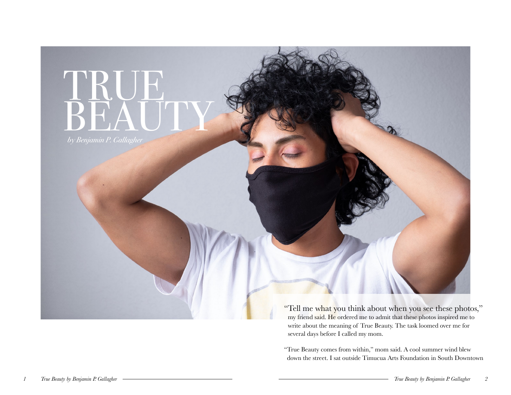

my friend said. He ordered me to admit that these photos inspired me to write about the meaning of True Beauty. The task loomed over me for several days before I called my mom.

"True Beauty comes from within," mom said. A cool summer wind blew down the street. I sat outside Timucua Arts Foundation in South Downtown